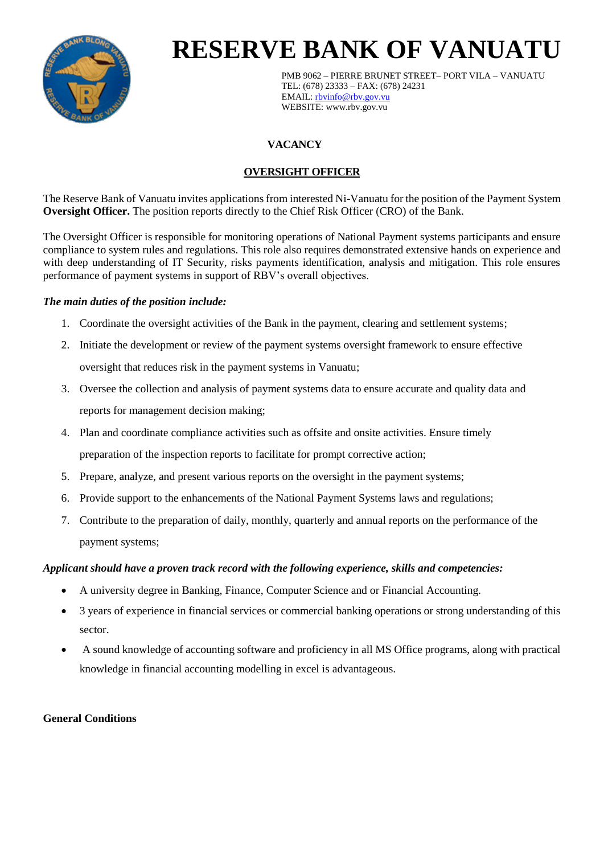

# **RESERVE BANK OF VANUATU**

PMB 9062 – PIERRE BRUNET STREET– PORT VILA – VANUATU TEL: (678) 23333 – FAX: (678) 24231 EMAIL: [rbvinfo@rbv.gov.vu](mailto:rbvinfo@rbv.gov.vu) WEBSITE: www.rbv.gov.vu

## **VACANCY**

### **OVERSIGHT OFFICER**

The Reserve Bank of Vanuatu invites applications from interested Ni-Vanuatu for the position of the Payment System **Oversight Officer.** The position reports directly to the Chief Risk Officer (CRO) of the Bank.

The Oversight Officer is responsible for monitoring operations of National Payment systems participants and ensure compliance to system rules and regulations. This role also requires demonstrated extensive hands on experience and with deep understanding of IT Security, risks payments identification, analysis and mitigation. This role ensures performance of payment systems in support of RBV's overall objectives.

#### *The main duties of the position include:*

- 1. Coordinate the oversight activities of the Bank in the payment, clearing and settlement systems;
- 2. Initiate the development or review of the payment systems oversight framework to ensure effective oversight that reduces risk in the payment systems in Vanuatu;
- 3. Oversee the collection and analysis of payment systems data to ensure accurate and quality data and reports for management decision making;
- 4. Plan and coordinate compliance activities such as offsite and onsite activities. Ensure timely preparation of the inspection reports to facilitate for prompt corrective action;
- 5. Prepare, analyze, and present various reports on the oversight in the payment systems;
- 6. Provide support to the enhancements of the National Payment Systems laws and regulations;
- 7. Contribute to the preparation of daily, monthly, quarterly and annual reports on the performance of the payment systems;

#### *Applicant should have a proven track record with the following experience, skills and competencies:*

- A university degree in Banking, Finance, Computer Science and or Financial Accounting.
- 3 years of experience in financial services or commercial banking operations or strong understanding of this sector.
- A sound knowledge of accounting software and proficiency in all MS Office programs, along with practical knowledge in financial accounting modelling in excel is advantageous.

#### **General Conditions**